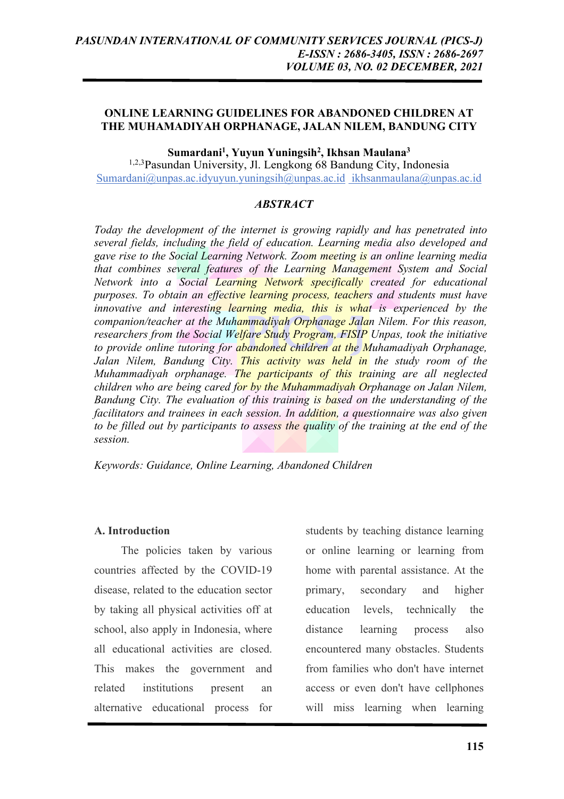## **ONLINE LEARNING GUIDELINES FOR ABANDONED CHILDREN AT THE MUHAMADIYAH ORPHANAGE, JALAN NILEM, BANDUNG CITY**

**Sumardani1 , Yuyun Yuningsih2 , Ikhsan Maulana3**

1,2,3Pasundan University, Jl. Lengkong 68 Bandung City, Indonesia Sumardani@unpas.ac.idyuyun.yuningsih@unpas.ac.id ikhsanmaulana@unpas.ac.id

### *ABSTRACT*

*Today the development of the internet is growing rapidly and has penetrated into several fields, including the field of education. Learning media also developed and gave rise to the Social Learning Network. Zoom meeting is an online learning media that combines several features of the Learning Management System and Social Network into a Social Learning Network specifically created for educational purposes. To obtain an effective learning process, teachers and students must have innovative and interesting learning media, this is what is experienced by the companion/teacher at the Muhammadiyah Orphanage Jalan Nilem. For this reason, researchers from the Social Welfare Study Program, FISIP Unpas, took the initiative to provide online tutoring for abandoned children at the Muhamadiyah Orphanage,*  Jalan Nilem, Bandung City. This activity was held in the study room of the *Muhammadiyah orphanage. The participants of this training are all neglected children who are being cared for by the Muhammadiyah Orphanage on Jalan Nilem, Bandung City. The evaluation of this training is based on the understanding of the facilitators and trainees in each session. In addition, a questionnaire was also given to be filled out by participants to assess the quality of the training at the end of the session.*

*Keywords: Guidance, Online Learning, Abandoned Children*

## **A. Introduction**

The policies taken by various countries affected by the COVID-19 disease, related to the education sector by taking all physical activities off at school, also apply in Indonesia, where all educational activities are closed. This makes the government and related institutions present an alternative educational process for

students by teaching distance learning or online learning or learning from home with parental assistance. At the primary, secondary and higher education levels, technically the distance learning process also encountered many obstacles. Students from families who don't have internet access or even don't have cellphones will miss learning when learning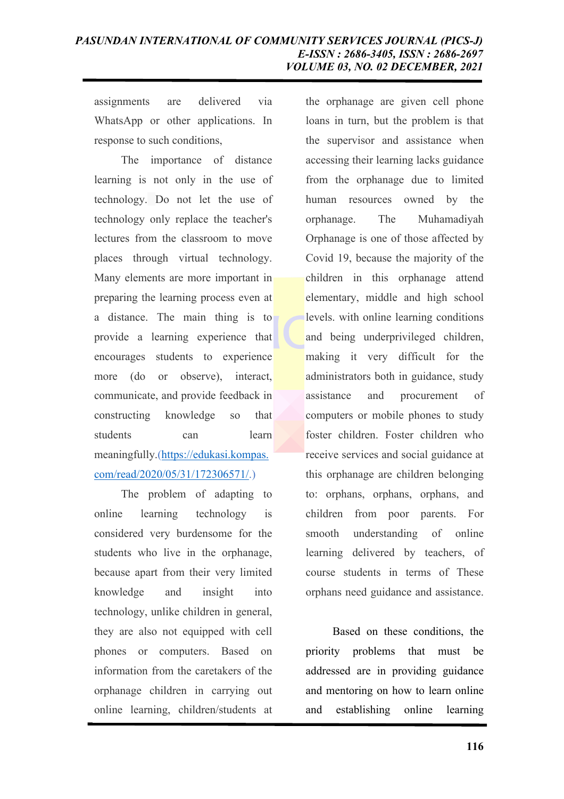assignments are delivered via WhatsApp or other applications. In response to such conditions,

The importance of distance learning is not only in the use of technology. Do not let the use of technology only replace the teacher's lectures from the classroom to move places through virtual technology. Many elements are more important in preparing the learning process even at a distance. The main thing is to provide a learning experience that encourages students to experience more (do or observe), interact, communicate, and provide feedback in constructing knowledge so that students can learn meaningfully.(https://edukasi.kompas. com/read/2020/05/31/172306571/.)

The problem of adapting to online learning technology is considered very burdensome for the students who live in the orphanage, because apart from their very limited knowledge and insight into technology, unlike children in general, they are also not equipped with cell phones or computers. Based on information from the caretakers of the orphanage children in carrying out online learning, children/students at

the orphanage are given cell phone loans in turn, but the problem is that the supervisor and assistance when accessing their learning lacks guidance from the orphanage due to limited human resources owned by the orphanage. The Muhamadiyah Orphanage is one of those affected by Covid 19, because the majority of the children in this orphanage attend elementary, middle and high school levels. with online learning conditions and being underprivileged children, making it very difficult for the administrators both in guidance, study assistance and procurement of computers or mobile phones to study foster children. Foster children who receive services and social guidance at this orphanage are children belonging to: orphans, orphans, orphans, and children from poor parents. For smooth understanding of online learning delivered by teachers, of course students in terms of These orphans need guidance and assistance.

Based on these conditions, the priority problems that must be addressed are in providing guidance and mentoring on how to learn online and establishing online learning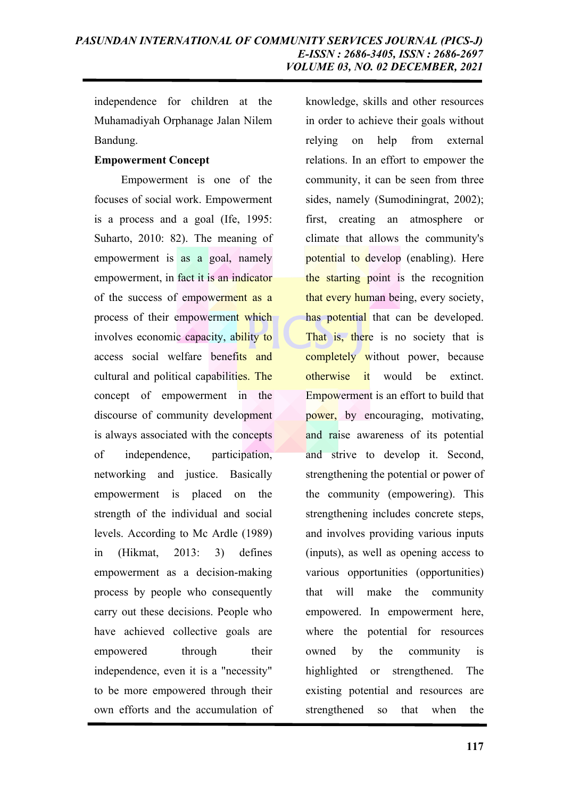independence for children at the Muhamadiyah Orphanage Jalan Nilem Bandung.

### **Empowerment Concept**

Empowerment is one of the focuses of social work. Empowerment is a process and a goal (Ife, 1995: Suharto, 2010: 82). The meaning of empowerment is as a goal, namely empowerment, in fact it is an indicator of the success of empowerment as a process of their empowerment which involves economic capacity, ability to access social welfare benefits and cultural and political capabilities. The concept of empowerment in the discourse of community development is always associated with the concepts of independence, participation, networking and justice. Basically empowerment is placed on the strength of the individual and social levels. According to Mc Ardle (1989) in (Hikmat, 2013: 3) defines empowerment as a decision-making process by people who consequently carry out these decisions. People who have achieved collective goals are empowered through their independence, even it is a "necessity" to be more empowered through their own efforts and the accumulation of

knowledge, skills and other resources in order to achieve their goals without relying on help from external relations. In an effort to empower the community, it can be seen from three sides, namely (Sumodiningrat, 2002); first, creating an atmosphere or climate that allows the community's potential to develop (enabling). Here the starting point is the recognition that every human being, every society, has potential that can be developed. That is, there is no society that is **completely** without power, because otherwise it would be extinct. Empowerment is an effort to build that power, by encouraging, motivating, and raise awareness of its potential and strive to develop it. Second, strengthening the potential or power of the community (empowering). This strengthening includes concrete steps, and involves providing various inputs (inputs), as well as opening access to various opportunities (opportunities) that will make the community empowered. In empowerment here, where the potential for resources owned by the community is highlighted or strengthened. The existing potential and resources are strengthened so that when the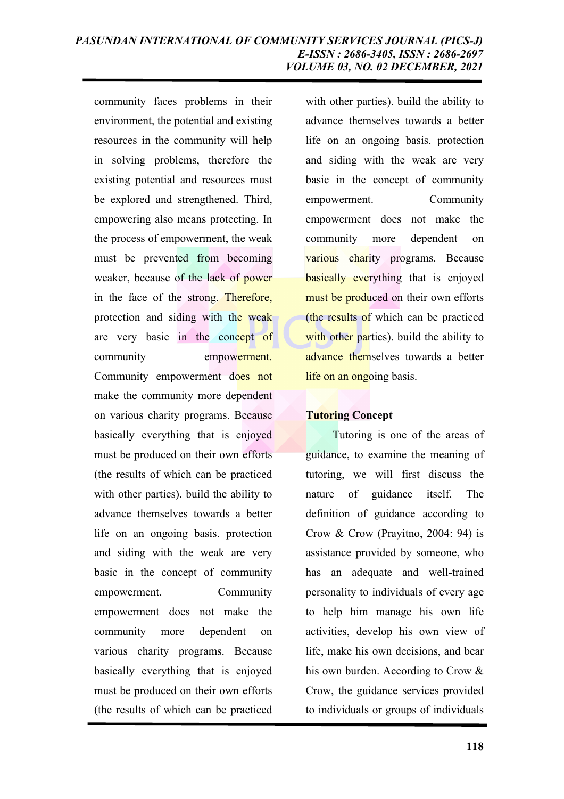community faces problems in their environment, the potential and existing resources in the community will help in solving problems, therefore the existing potential and resources must be explored and strengthened. Third, empowering also means protecting. In the process of empowerment, the weak must be prevented from becoming weaker, because of the lack of power in the face of the strong. Therefore, protection and siding with the weak are very basic in the concept of community empowerment. Community empowerment does not make the community more dependent on various charity programs. Because basically everything that is enjoyed must be produced on their own efforts (the results of which can be practiced with other parties). build the ability to advance themselves towards a better life on an ongoing basis. protection and siding with the weak are very basic in the concept of community empowerment. Community empowerment does not make the community more dependent on various charity programs. Because basically everything that is enjoyed must be produced on their own efforts (the results of which can be practiced

with other parties). build the ability to advance themselves towards a better life on an ongoing basis. protection and siding with the weak are very basic in the concept of community empowerment. Community empowerment does not make the community more dependent on various charity programs. Because **basically everything that is enjoyed** must be produced on their own efforts (the results of which can be practiced with other parties). build the ability to advance themselves towards a better life on an ongoing basis.

# **Tutoring Concept**

Tutoring is one of the areas of guidance, to examine the meaning of tutoring, we will first discuss the nature of guidance itself. The definition of guidance according to Crow & Crow (Prayitno, 2004: 94) is assistance provided by someone, who has an adequate and well-trained personality to individuals of every age to help him manage his own life activities, develop his own view of life, make his own decisions, and bear his own burden. According to Crow & Crow, the guidance services provided to individuals or groups of individuals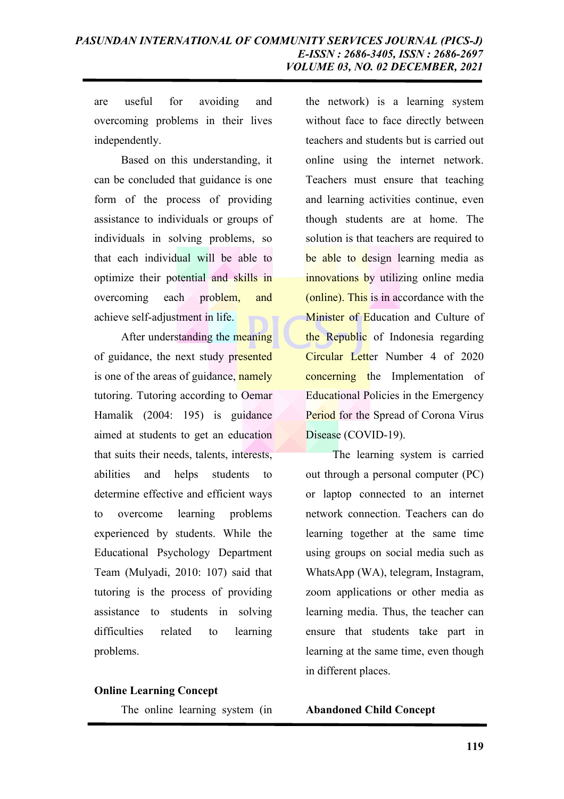are useful for avoiding and overcoming problems in their lives independently.

Based on this understanding, it can be concluded that guidance is one form of the process of providing assistance to individuals or groups of individuals in solving problems, so that each individual will be able to optimize their potential and skills in overcoming each problem, and achieve self-adjustment in life.

After understanding the meaning of guidance, the next study presented is one of the areas of guidance, namely tutoring. Tutoring according to Oemar Hamalik (2004: 195) is guidance aimed at students to get an education that suits their needs, talents, interests, abilities and helps students to determine effective and efficient ways to overcome learning problems experienced by students. While the Educational Psychology Department Team (Mulyadi, 2010: 107) said that tutoring is the process of providing assistance to students in solving difficulties related to learning problems.

#### **Online Learning Concept**

The online learning system (in

the network) is a learning system without face to face directly between teachers and students but is carried out online using the internet network. Teachers must ensure that teaching and learning activities continue, even though students are at home. The solution is that teachers are required to be able to design learning media as innovations by utilizing online media (online). This is in accordance with the Minister of Education and Culture of the Republic of Indonesia regarding Circular Letter Number 4 of 2020 concerning the Implementation of Educational Policies in the Emergency Period for the Spread of Corona Virus Disease (COVID-19).

The learning system is carried out through a personal computer (PC) or laptop connected to an internet network connection. Teachers can do learning together at the same time using groups on social media such as WhatsApp (WA), telegram, Instagram, zoom applications or other media as learning media. Thus, the teacher can ensure that students take part in learning at the same time, even though in different places.

**Abandoned Child Concept**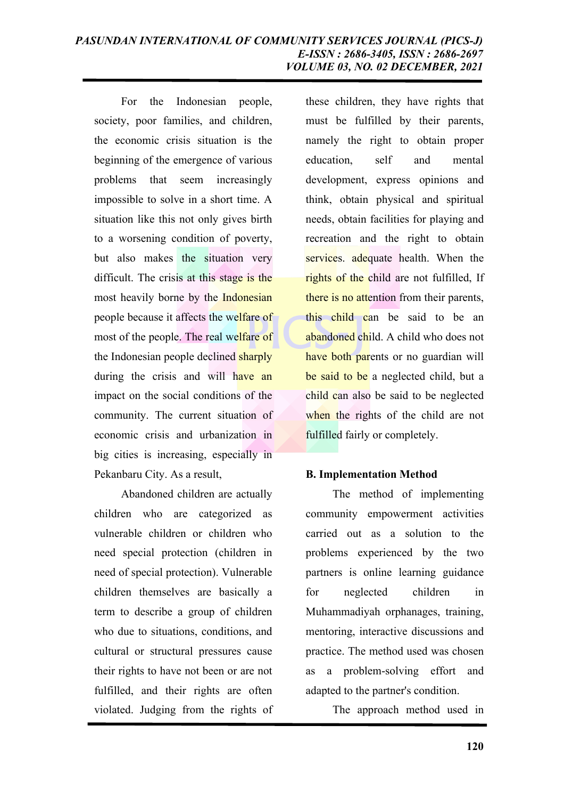For the Indonesian people, society, poor families, and children, the economic crisis situation is the beginning of the emergence of various problems that seem increasingly impossible to solve in a short time. A situation like this not only gives birth to a worsening condition of poverty, but also makes the situation very difficult. The crisis at this stage is the most heavily borne by the Indonesian people because it affects the welfare of most of the people. The real welfare of the Indonesian people declined sharply during the crisis and will have an impact on the social conditions of the community. The current situation of economic crisis and urbanization in big cities is increasing, especially in Pekanbaru City. As a result,

Abandoned children are actually children who are categorized as vulnerable children or children who need special protection (children in need of special protection). Vulnerable children themselves are basically a term to describe a group of children who due to situations, conditions, and cultural or structural pressures cause their rights to have not been or are not fulfilled, and their rights are often violated. Judging from the rights of

these children, they have rights that must be fulfilled by their parents, namely the right to obtain proper education, self and mental development, express opinions and think, obtain physical and spiritual needs, obtain facilities for playing and recreation and the right to obtain services. adequate health. When the rights of the child are not fulfilled, If there is no attention from their parents, this child can be said to be an abandoned child. A child who does not have both parents or no guardian will be said to be a neglected child, but a child can also be said to be neglected when the rights of the child are not fulfilled fairly or completely.

## **B. Implementation Method**

The method of implementing community empowerment activities carried out as a solution to the problems experienced by the two partners is online learning guidance for neglected children in Muhammadiyah orphanages, training, mentoring, interactive discussions and practice. The method used was chosen as a problem-solving effort and adapted to the partner's condition.

The approach method used in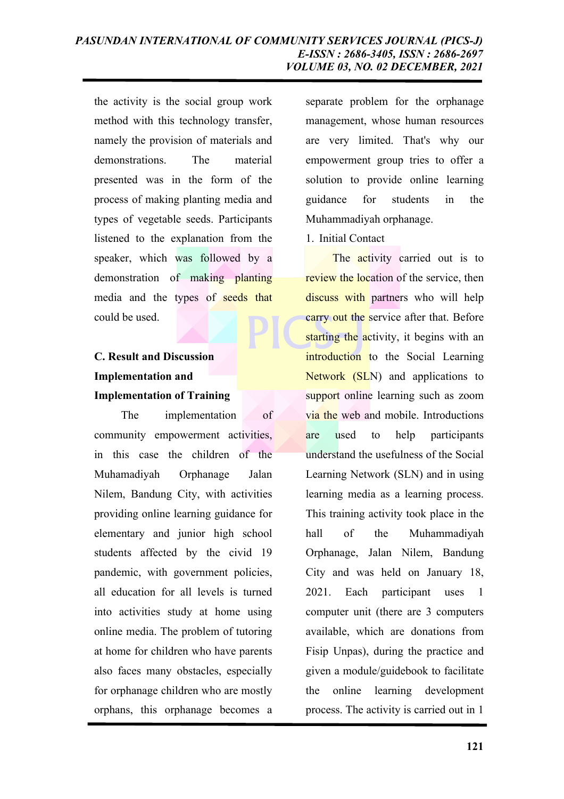the activity is the social group work method with this technology transfer, namely the provision of materials and demonstrations. The material presented was in the form of the process of making planting media and types of vegetable seeds. Participants listened to the explanation from the speaker, which was followed by a demonstration of making planting media and the types of seeds that could be used.

# **C. Result and Discussion Implementation and Implementation of Training**

The implementation of community empowerment activities, in this case the children of the Muhamadiyah Orphanage Jalan Nilem, Bandung City, with activities providing online learning guidance for elementary and junior high school students affected by the civid 19 pandemic, with government policies, all education for all levels is turned into activities study at home using online media. The problem of tutoring at home for children who have parents also faces many obstacles, especially for orphanage children who are mostly orphans, this orphanage becomes a

separate problem for the orphanage management, whose human resources are very limited. That's why our empowerment group tries to offer a solution to provide online learning guidance for students in the Muhammadiyah orphanage.

## 1. Initial Contact

The **activity** carried out is to review the location of the service, then discuss with partners who will help carry out the service after that. Before starting the activity, it begins with an introduction to the Social Learning Network (SLN) and applications to support online learning such as zoom via the web and mobile. Introductions are used to help participants understand the usefulness of the Social Learning Network (SLN) and in using learning media as a learning process. This training activity took place in the hall of the Muhammadiyah Orphanage, Jalan Nilem, Bandung City and was held on January 18, 2021. Each participant uses 1 computer unit (there are 3 computers available, which are donations from Fisip Unpas), during the practice and given a module/guidebook to facilitate the online learning development process. The activity is carried out in 1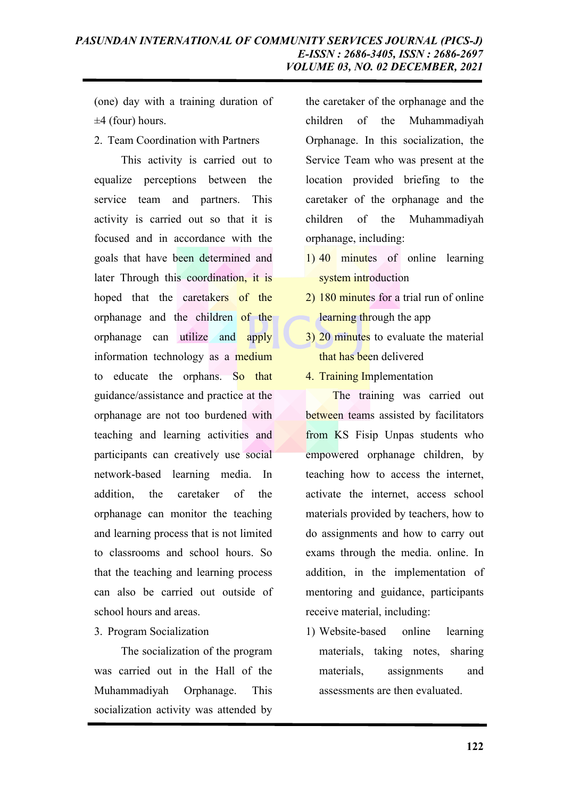(one) day with a training duration of  $\pm 4$  (four) hours.

2. Team Coordination with Partners

This activity is carried out to equalize perceptions between the service team and partners. This activity is carried out so that it is focused and in accordance with the goals that have been determined and later Through this coordination, it is hoped that the caretakers of the orphanage and the children of the orphanage can utilize and apply information technology as a medium to educate the orphans. So that guidance/assistance and practice at the orphanage are not too burdened with teaching and learning activities and participants can creatively use social network-based learning media. In addition, the caretaker of the orphanage can monitor the teaching and learning process that is not limited to classrooms and school hours. So that the teaching and learning process can also be carried out outside of school hours and areas.

## 3. Program Socialization

The socialization of the program was carried out in the Hall of the Muhammadiyah Orphanage. This socialization activity was attended by

the caretaker of the orphanage and the children of the Muhammadiyah Orphanage. In this socialization, the Service Team who was present at the location provided briefing to the caretaker of the orphanage and the children of the Muhammadiyah orphanage, including:

- 1) 40 minutes of online learning system introduction
- 2) 180 minutes for a trial run of online learning through the app
- 3) 20 minutes to evaluate the material that has been delivered
- 4. Training Implementation

The training was carried out between teams assisted by facilitators from KS Fisip Unpas students who empowered orphanage children, by teaching how to access the internet, activate the internet, access school materials provided by teachers, how to do assignments and how to carry out exams through the media. online. In addition, in the implementation of mentoring and guidance, participants receive material, including:

1) Website-based online learning materials, taking notes, sharing materials, assignments and assessments are then evaluated.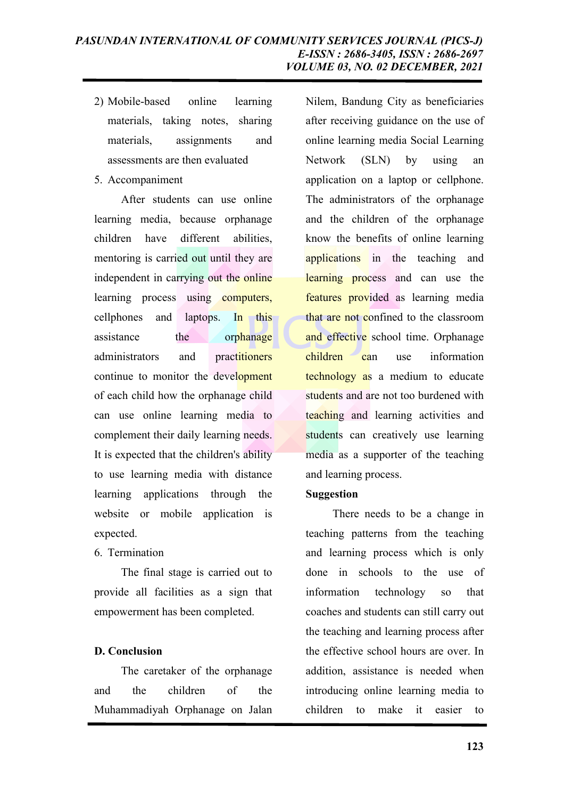- 2) Mobile-based online learning materials, taking notes, sharing materials, assignments and assessments are then evaluated
- 5. Accompaniment

After students can use online learning media, because orphanage children have different abilities, mentoring is carried out until they are independent in carrying out the online learning process using computers, cellphones and laptops. In this assistance the orphanage administrators and practitioners continue to monitor the development of each child how the orphanage child can use online learning media to complement their daily learning needs. It is expected that the children's ability to use learning media with distance learning applications through the website or mobile application is expected.

6. Termination

The final stage is carried out to provide all facilities as a sign that empowerment has been completed.

# **D. Conclusion**

The caretaker of the orphanage and the children of the Muhammadiyah Orphanage on Jalan Nilem, Bandung City as beneficiaries after receiving guidance on the use of online learning media Social Learning Network (SLN) by using an application on a laptop or cellphone. The administrators of the orphanage and the children of the orphanage know the benefits of online learning applications in the teaching and learning process and can use the features provided as learning media that are not confined to the classroom and effective school time. Orphanage children can use information technology as a medium to educate students and are not too burdened with teaching and learning activities and students can creatively use learning media as a supporter of the teaching and learning process.

# **Suggestion**

There needs to be a change in teaching patterns from the teaching and learning process which is only done in schools to the use of information technology so that coaches and students can still carry out the teaching and learning process after the effective school hours are over. In addition, assistance is needed when introducing online learning media to children to make it easier to